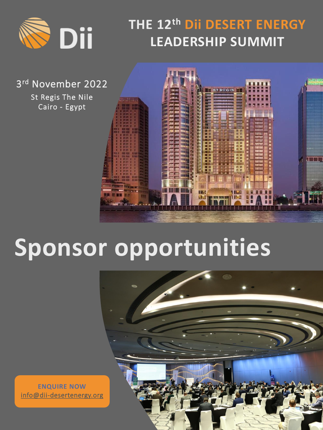

### **THE 12th Dii DESERT ENERGY LEADERSHIP SUMMIT**

3 rd November 2022

St Regis The Nile Cairo - Egypt



# **Sponsor opportunities**



**ENQUIRE NOW** [info@dii-desertenergy.org](mailto:info@dii-desertenergy.org)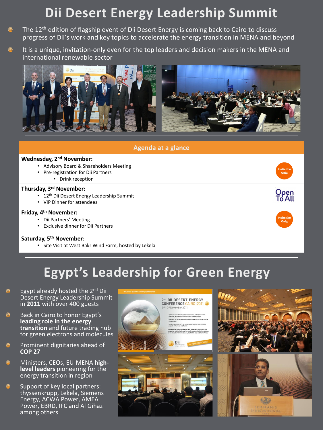#### **Dii Desert Energy Leadership Summit**

- The 12<sup>th</sup> edition of flagship event of Dii Desert Energy is coming back to Cairo to discuss Ñ. progress of Dii's work and key topics to accelerate the energy transition in MENA and beyond
- I. It is a unique, invitation-only even for the top leaders and decision makers in the MENA and international renewable sector





#### **Egypt's Leadership for Green Energy**

- Egypt already hosted the  $2<sup>nd</sup>$  Dii Desert Energy Leadership Summit in **2011** with over 400 guests
- Back in Cairo to honor Egypt's Ñ. **leading role in the energy transition** and future trading hub for green electrons and molecules
- Prominent dignitaries ahead of **COP 27**
- Ñ Ministers, CEOs, EU-MENA **highlevel leaders** pioneering for the energy transition in region
- Support of key local partners: thyssenkrupp, Lekela, Siemens Energy, ACWA Power, AMEA Power, EBRD, IFC and Al Gihaz among others

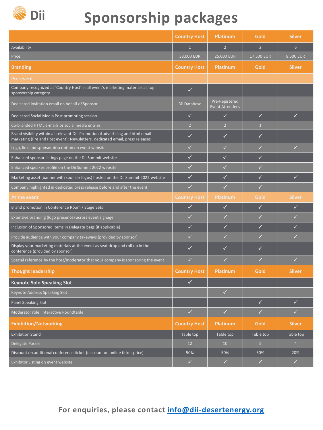

## **Sponsorship packages**

|                                                                                                                                                                 | <b>Country Host</b> | <b>Platinum</b>                          | <b>Gold</b>    | <b>Silver</b>  |
|-----------------------------------------------------------------------------------------------------------------------------------------------------------------|---------------------|------------------------------------------|----------------|----------------|
| Availability                                                                                                                                                    | $\mathbf{1}$        | 2 <sup>1</sup>                           | 2 <sup>1</sup> | 6              |
| Price                                                                                                                                                           | 33,000 EUR          | 25,000 EUR                               | 17,500 EUR     | 8,500 EUR      |
| <b>Branding</b>                                                                                                                                                 | <b>Country Host</b> | <b>Platinum</b>                          | <b>Gold</b>    | <b>Silver</b>  |
| <b>Pre-event</b>                                                                                                                                                |                     |                                          |                |                |
| Company recognized as 'Country Host' in all event's marketing materials as top<br>sponsorship category                                                          | $\checkmark$        |                                          |                |                |
| Dedicated invitation email on behalf of Sponsor                                                                                                                 | Dii Database        | Pre-Registered<br><b>Event Attendees</b> |                |                |
| Dedicated Social Media Post promoting session                                                                                                                   | $\checkmark$        | $\checkmark$                             | $\checkmark$   | $\checkmark$   |
| Co-branded HTML e-mails or social media entries                                                                                                                 | $\overline{2}$      | 2 <sup>2</sup>                           | $\mathbf{1}$   |                |
| Brand visibility within all relevant Dii Promotional advertising and html email<br>marketing (Pre and Post event): Newsletters, dedicated email, press releases | $\checkmark$        | $\checkmark$                             | $\checkmark$   |                |
| Logo, link and sponsor description on event website                                                                                                             | $\checkmark$        | $\checkmark$                             | $\checkmark$   | $\checkmark$   |
| Enhanced sponsor listings page on the Dii Summit website                                                                                                        | $\checkmark$        | $\checkmark$                             | $\checkmark$   |                |
| Enhanced speaker profile on the Dii Summit 2022 website                                                                                                         | $\checkmark$        | $\checkmark$                             | $\checkmark$   |                |
| Marketing asset (banner with sponsor logos) hosted on the Dii Summit 2022 website                                                                               | $\checkmark$        | $\checkmark$                             | $\checkmark$   | $\checkmark$   |
| Company highlighted in dedicated press release before and after the event                                                                                       | $\checkmark$        | $\checkmark$                             | $\checkmark$   |                |
| At the event                                                                                                                                                    | <b>Country Host</b> | <b>Platinum</b>                          | <b>Gold</b>    | <b>Silver</b>  |
| Brand promotion in Conference Room / Stage Sets                                                                                                                 | $\checkmark$        | $\checkmark$                             | $\checkmark$   | $\checkmark$   |
| Extensive branding (logo presence) across event signage                                                                                                         | $\checkmark$        | $\checkmark$                             | $\checkmark$   | $\checkmark$   |
| Inclusion of Sponsored items in Delegate bags (if applicable)                                                                                                   | $\checkmark$        | ✓                                        | $\checkmark$   | $\checkmark$   |
| Provide audience with your company takeways (provided by sponsor)                                                                                               | ✓                   | ✓                                        | ✓              | $\checkmark$   |
| Display your marketing materials at the event as seat drop and roll up in the<br>conference (provided by sponsor)                                               | $\checkmark$        | $\checkmark$                             | $\checkmark$   |                |
| Special reference by the host/moderator that your company is sponsoring the event                                                                               | $\checkmark$        | $\checkmark$                             | $\checkmark$   | $\checkmark$   |
| <b>Thought leadership</b>                                                                                                                                       | <b>Country Host</b> | <b>Platinum</b>                          | <b>Gold</b>    | <b>Silver</b>  |
| <b>Keynote Solo Speaking Slot</b>                                                                                                                               | $\checkmark$        |                                          |                |                |
| Keynote Address Speaking Slot                                                                                                                                   |                     | $\checkmark$                             |                |                |
| Panel Speaking Slot                                                                                                                                             |                     |                                          | $\checkmark$   | $\checkmark$   |
| Moderator role: Interactive Roundtable                                                                                                                          | $\checkmark$        | $\checkmark$                             | $\checkmark$   | $\checkmark$   |
| <b>Exhibition/Networking</b>                                                                                                                                    | <b>Country Host</b> | <b>Platinum</b>                          | <b>Gold</b>    | <b>Silver</b>  |
| <b>Exhibition Stand</b>                                                                                                                                         | Table top           | Table top                                | Table top      | Table top      |
| Delegate Passes                                                                                                                                                 | 12                  | 10                                       | 5              | $\overline{4}$ |
| Discount on additional conference ticket (discount on online ticket price)                                                                                      | 50%                 | 50%                                      | 50%            | 20%            |
| Exhibitor Listing on event website                                                                                                                              | $\checkmark$        | $\checkmark$                             | $\checkmark$   | $\checkmark$   |